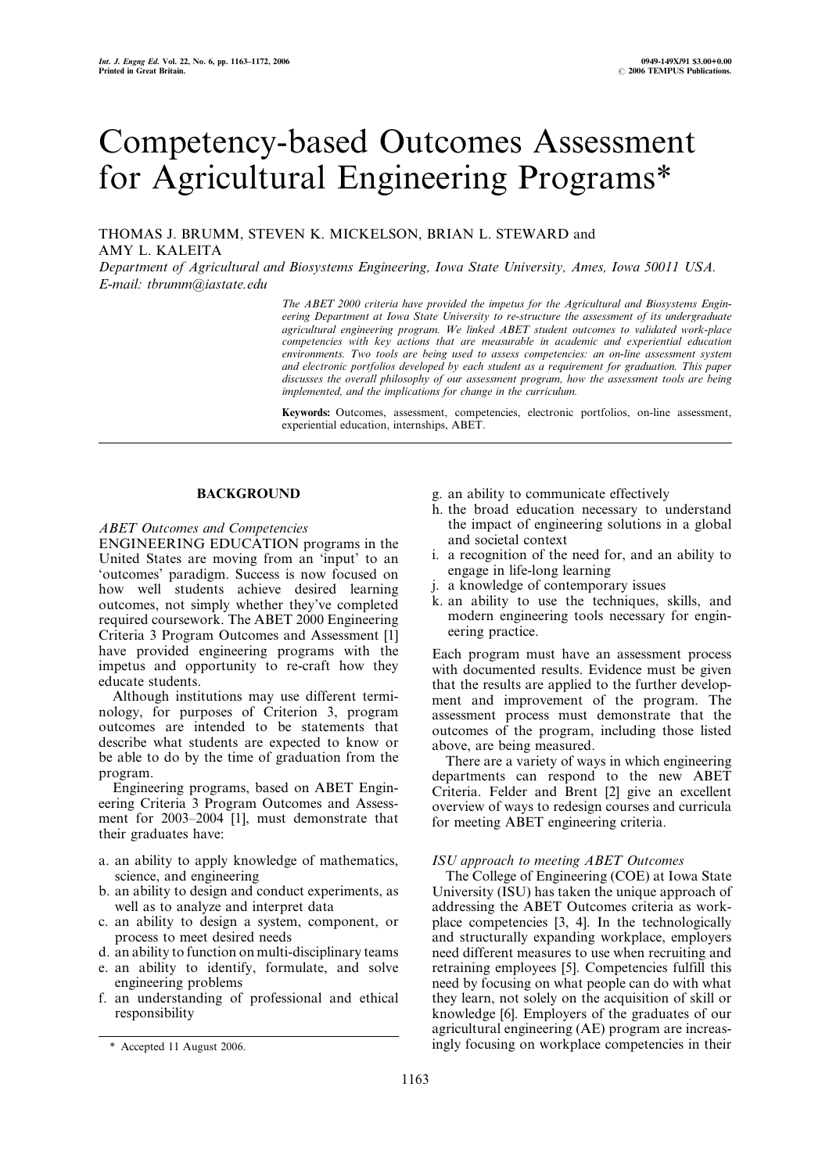# Competency-based Outcomes Assessment for Agricultural Engineering Programs\*

THOMAS J. BRUMM, STEVEN K. MICKELSON, BRIAN L. STEWARD and AMY L. KALEITA

Department of Agricultural and Biosystems Engineering, Iowa State University, Ames, Iowa 50011 USA. E-mail: tbrumm@iastate.edu

> The ABET 2000 criteria have provided the impetus for the Agricultural and Biosystems Engineering Department at Iowa State University to re-structure the assessment of its undergraduate agricultural engineering program. We linked ABET student outcomes to validated work-place competencies with key actions that are measurable in academic and experiential education environments. Two tools are being used to assess competencies: an on-line assessment system and electronic portfolios developed by each student as a requirement for graduation. This paper discusses the overall philosophy of our assessment program, how the assessment tools are being implemented, and the implications for change in the curriculum.

> Keywords: Outcomes, assessment, competencies, electronic portfolios, on-line assessment, experiential education, internships, ABET.

# **BACKGROUND**

# ABET Outcomes and Competencies

ENGINEERING EDUCATION programs in the United States are moving from an `input' to an `outcomes' paradigm. Success is now focused on how well students achieve desired learning outcomes, not simply whether they've completed required coursework. The ABET 2000 Engineering Criteria 3 Program Outcomes and Assessment [1] have provided engineering programs with the impetus and opportunity to re-craft how they educate students.

Although institutions may use different terminology, for purposes of Criterion 3, program outcomes are intended to be statements that describe what students are expected to know or be able to do by the time of graduation from the program.

Engineering programs, based on ABET Engineering Criteria 3 Program Outcomes and Assessment for 2003-2004 [1], must demonstrate that their graduates have:

- a. an ability to apply knowledge of mathematics, science, and engineering
- b. an ability to design and conduct experiments, as well as to analyze and interpret data
- c. an ability to design a system, component, or process to meet desired needs
- d. an ability to function on multi-disciplinary teams
- e. an ability to identify, formulate, and solve engineering problems
- f. an understanding of professional and ethical responsibility
- g. an ability to communicate effectively
- h. the broad education necessary to understand the impact of engineering solutions in a global and societal context
- i. a recognition of the need for, and an ability to engage in life-long learning
- j. a knowledge of contemporary issues
- k. an ability to use the techniques, skills, and modern engineering tools necessary for engineering practice.

Each program must have an assessment process with documented results. Evidence must be given that the results are applied to the further development and improvement of the program. The assessment process must demonstrate that the outcomes of the program, including those listed above, are being measured.

There are a variety of ways in which engineering departments can respond to the new ABET Criteria. Felder and Brent [2] give an excellent overview of ways to redesign courses and curricula for meeting ABET engineering criteria.

## ISU approach to meeting ABET Outcomes

The College of Engineering (COE) at Iowa State University (ISU) has taken the unique approach of addressing the ABET Outcomes criteria as workplace competencies [3, 4]. In the technologically and structurally expanding workplace, employers need different measures to use when recruiting and retraining employees [5]. Competencies fulfill this need by focusing on what people can do with what they learn, not solely on the acquisition of skill or knowledge [6]. Employers of the graduates of our agricultural engineering (AE) program are increas- \* Accepted 11 August 2006. ingly focusing on workplace competencies in their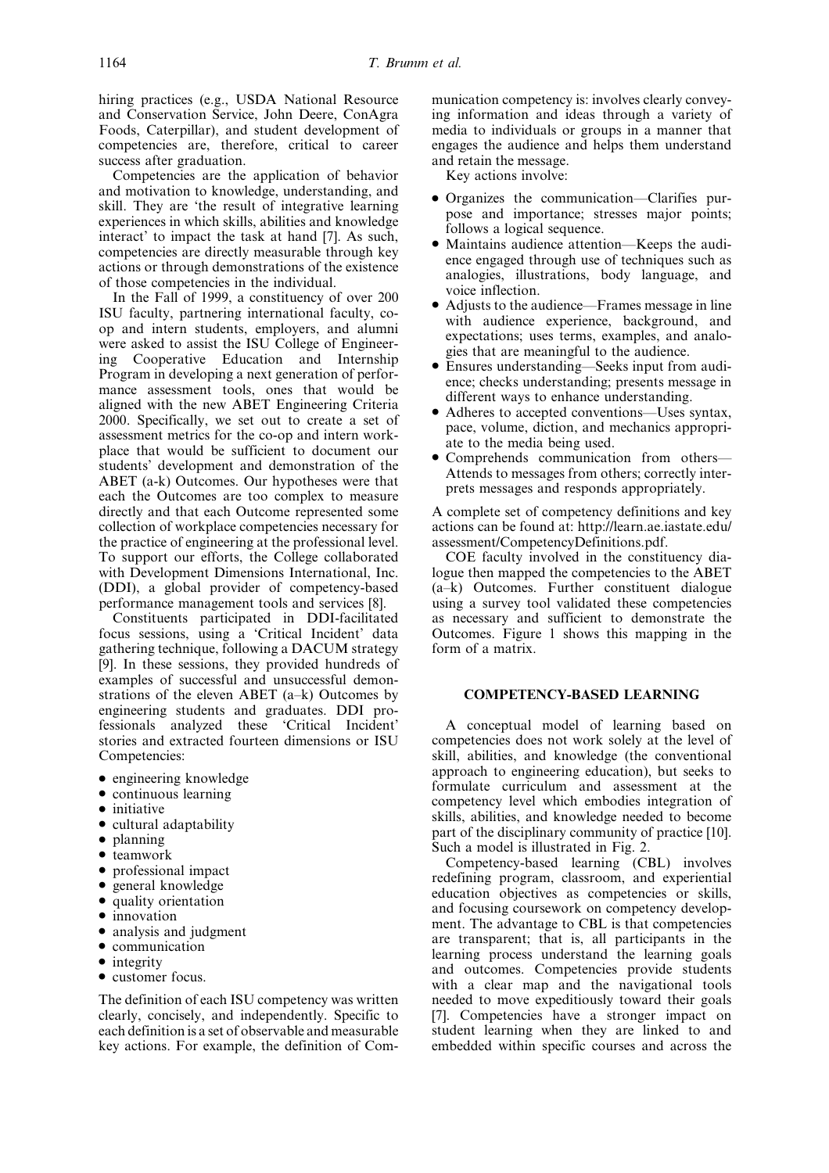hiring practices (e.g., USDA National Resource and Conservation Service, John Deere, ConAgra Foods, Caterpillar), and student development of competencies are, therefore, critical to career success after graduation.

Competencies are the application of behavior and motivation to knowledge, understanding, and skill. They are 'the result of integrative learning experiences in which skills, abilities and knowledge interact' to impact the task at hand [7]. As such, competencies are directly measurable through key actions or through demonstrations of the existence of those competencies in the individual.

In the Fall of 1999, a constituency of over 200 ISU faculty, partnering international faculty, coop and intern students, employers, and alumni were asked to assist the ISU College of Engineering Cooperative Education and Internship Program in developing a next generation of performance assessment tools, ones that would be aligned with the new ABET Engineering Criteria 2000. Specifically, we set out to create a set of assessment metrics for the co-op and intern workplace that would be sufficient to document our students' development and demonstration of the ABET (a-k) Outcomes. Our hypotheses were that each the Outcomes are too complex to measure directly and that each Outcome represented some collection of workplace competencies necessary for the practice of engineering at the professional level. To support our efforts, the College collaborated with Development Dimensions International, Inc. (DDI), a global provider of competency-based performance management tools and services [8].

Constituents participated in DDI-facilitated focus sessions, using a `Critical Incident' data gathering technique, following a DACUM strategy [9]. In these sessions, they provided hundreds of examples of successful and unsuccessful demonstrations of the eleven ABET  $(a-k)$  Outcomes by engineering students and graduates. DDI professionals analyzed these `Critical Incident' stories and extracted fourteen dimensions or ISU Competencies:

- engineering knowledge
- . continuous learning
- initiative
- cultural adaptability
- planning
- teamwork
- . professional impact
- general knowledge
- quality orientation
- $\bullet$  innovation
- analysis and judgment
- $\bullet$  communication
- integrity
- . customer focus.

The definition of each ISU competency was written clearly, concisely, and independently. Specific to each definition is a set of observable and measurable key actions. For example, the definition of Communication competency is: involves clearly conveying information and ideas through a variety of media to individuals or groups in a manner that engages the audience and helps them understand and retain the message.

Key actions involve:

- Organizes the communication—Clarifies purpose and importance; stresses major points; follows a logical sequence.
- $\bullet$  Maintains audience attention—Keeps the audience engaged through use of techniques such as analogies, illustrations, body language, and voice inflection.
- Adjusts to the audience—Frames message in line with audience experience, background, and expectations; uses terms, examples, and analogies that are meaningful to the audience.
- Ensures understanding—Seeks input from audience; checks understanding; presents message in different ways to enhance understanding.
- Adheres to accepted conventions—Uses syntax, pace, volume, diction, and mechanics appropriate to the media being used.
- Comprehends communication from others— Attends to messages from others; correctly interprets messages and responds appropriately.

A complete set of competency definitions and key actions can be found at: http://learn.ae.iastate.edu/ assessment/CompetencyDefinitions.pdf.

COE faculty involved in the constituency dialogue then mapped the competencies to the ABET (a±k) Outcomes. Further constituent dialogue using a survey tool validated these competencies as necessary and sufficient to demonstrate the Outcomes. Figure 1 shows this mapping in the form of a matrix.

## COMPETENCY-BASED LEARNING

A conceptual model of learning based on competencies does not work solely at the level of skill, abilities, and knowledge (the conventional approach to engineering education), but seeks to formulate curriculum and assessment at the competency level which embodies integration of skills, abilities, and knowledge needed to become part of the disciplinary community of practice [10]. Such a model is illustrated in Fig. 2.

Competency-based learning (CBL) involves redefining program, classroom, and experiential education objectives as competencies or skills, and focusing coursework on competency development. The advantage to CBL is that competencies are transparent; that is, all participants in the learning process understand the learning goals and outcomes. Competencies provide students with a clear map and the navigational tools needed to move expeditiously toward their goals [7]. Competencies have a stronger impact on student learning when they are linked to and embedded within specific courses and across the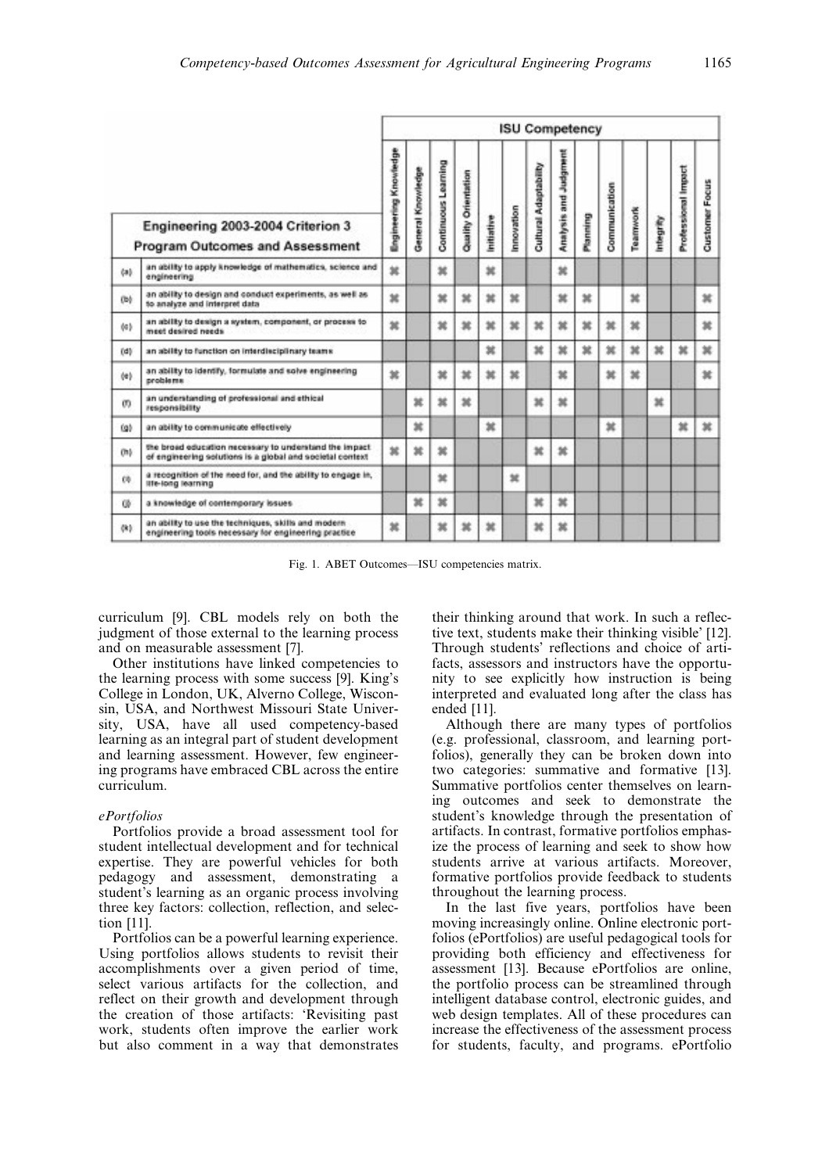|                                                                             |                                                                                                                      |                              | <b>ISU Competency</b> |                            |                     |            |                |                              |                       |          |               |          |          |                     |                       |  |  |  |
|-----------------------------------------------------------------------------|----------------------------------------------------------------------------------------------------------------------|------------------------------|-----------------------|----------------------------|---------------------|------------|----------------|------------------------------|-----------------------|----------|---------------|----------|----------|---------------------|-----------------------|--|--|--|
| Engineering 2003-2004 Criterion 3<br><b>Program Outcomes and Assessment</b> |                                                                                                                      | <b>Engineering Knowledge</b> | General Knowledge     | <b>Continuous Learning</b> | Quality Orientation | Initiative | mnovation      | <b>Cultural Adaptability</b> | Analysis and Judgment | Planning | Communication | Teamwork | mbegrity | Professional Impact | <b>Customer Focus</b> |  |  |  |
| čab                                                                         | an ability to apply knowledge of mathematics, science and<br>engineering                                             | ×                            |                       | ×                          |                     | ×          |                |                              | ×                     |          |               |          |          |                     |                       |  |  |  |
| (b)                                                                         | an ability to design and conduct experiments, as well as<br>to analyze and interpret data                            | ×                            |                       | ×                          | ×                   | ×          | ×              |                              | ×                     | ×        |               | ×        |          |                     | ×                     |  |  |  |
| (4)                                                                         | an ability to design a system, component, or process to<br>meet desired needs                                        | ×                            |                       | ×                          | ×                   | ×          | x              | ×                            | 耸                     | ×        | Ħ             | ×        |          |                     | ×                     |  |  |  |
| (d)                                                                         | an ability to function on interdisciplinary teams                                                                    |                              |                       |                            |                     | ×          |                | $\mathfrak{m}$               | ×                     | ×        | 試             | x        | ×        | $\mathfrak{m}$      | ×                     |  |  |  |
| $\langle \pm \rangle$                                                       | an ability to identify, formulate and solve engineering<br>problems                                                  | $\mathfrak{m}$               |                       | ×                          | ×                   | ×          | $\mathfrak{m}$ |                              | ×                     |          | ×             | ×        |          |                     | ×                     |  |  |  |
| (1)                                                                         | an understanding of professional and ethical<br>responsibility                                                       |                              | ×                     | ×                          | $\mathfrak{m}$      |            |                | ×                            | ×                     |          |               |          | ×        |                     |                       |  |  |  |
| (g)                                                                         | an ability to communicate effectively                                                                                |                              | ×                     |                            |                     | ×          |                |                              |                       |          | ×             |          |          | ×                   | ×                     |  |  |  |
| (h)                                                                         | the broad education necessary to understand the impact.<br>of engineering solutions is a global and societal context | 36                           | ×                     | 盆                          |                     |            |                | ×                            | 耸                     |          |               |          |          |                     |                       |  |  |  |
| $^{0}$                                                                      | a recognition of the need for, and the ability to engage in,<br>life-long learning                                   |                              |                       | ×                          |                     |            | ×              |                              |                       |          |               |          |          |                     |                       |  |  |  |
| œ                                                                           | a knowledge of contemporary issues                                                                                   |                              | Ħ                     | ×                          |                     |            |                | ×                            | $\mathfrak{m}$        |          |               |          |          |                     |                       |  |  |  |
| (k)                                                                         | an ability to use the techniques, skills and modern<br>engineering tools necessary for engineering practice          | 盆                            |                       | ×                          | ×                   | ×          |                | ×                            | ×                     |          |               |          |          |                     |                       |  |  |  |

Fig. 1. ABET Outcomes-ISU competencies matrix.

curriculum [9]. CBL models rely on both the judgment of those external to the learning process and on measurable assessment [7].

Other institutions have linked competencies to the learning process with some success [9]. King's College in London, UK, Alverno College, Wisconsin, USA, and Northwest Missouri State University, USA, have all used competency-based learning as an integral part of student development and learning assessment. However, few engineering programs have embraced CBL across the entire curriculum.

## ePortfolios

Portfolios provide a broad assessment tool for student intellectual development and for technical expertise. They are powerful vehicles for both pedagogy and assessment, demonstrating a student's learning as an organic process involving three key factors: collection, reflection, and selection [11].

Portfolios can be a powerful learning experience. Using portfolios allows students to revisit their accomplishments over a given period of time, select various artifacts for the collection, and reflect on their growth and development through the creation of those artifacts: `Revisiting past work, students often improve the earlier work but also comment in a way that demonstrates their thinking around that work. In such a reflective text, students make their thinking visible' [12]. Through students' reflections and choice of artifacts, assessors and instructors have the opportunity to see explicitly how instruction is being interpreted and evaluated long after the class has ended [11].

Although there are many types of portfolios (e.g. professional, classroom, and learning portfolios), generally they can be broken down into two categories: summative and formative [13]. Summative portfolios center themselves on learning outcomes and seek to demonstrate the student's knowledge through the presentation of artifacts. In contrast, formative portfolios emphasize the process of learning and seek to show how students arrive at various artifacts. Moreover, formative portfolios provide feedback to students throughout the learning process.

In the last five years, portfolios have been moving increasingly online. Online electronic portfolios (ePortfolios) are useful pedagogical tools for providing both efficiency and effectiveness for assessment [13]. Because ePortfolios are online, the portfolio process can be streamlined through intelligent database control, electronic guides, and web design templates. All of these procedures can increase the effectiveness of the assessment process for students, faculty, and programs. ePortfolio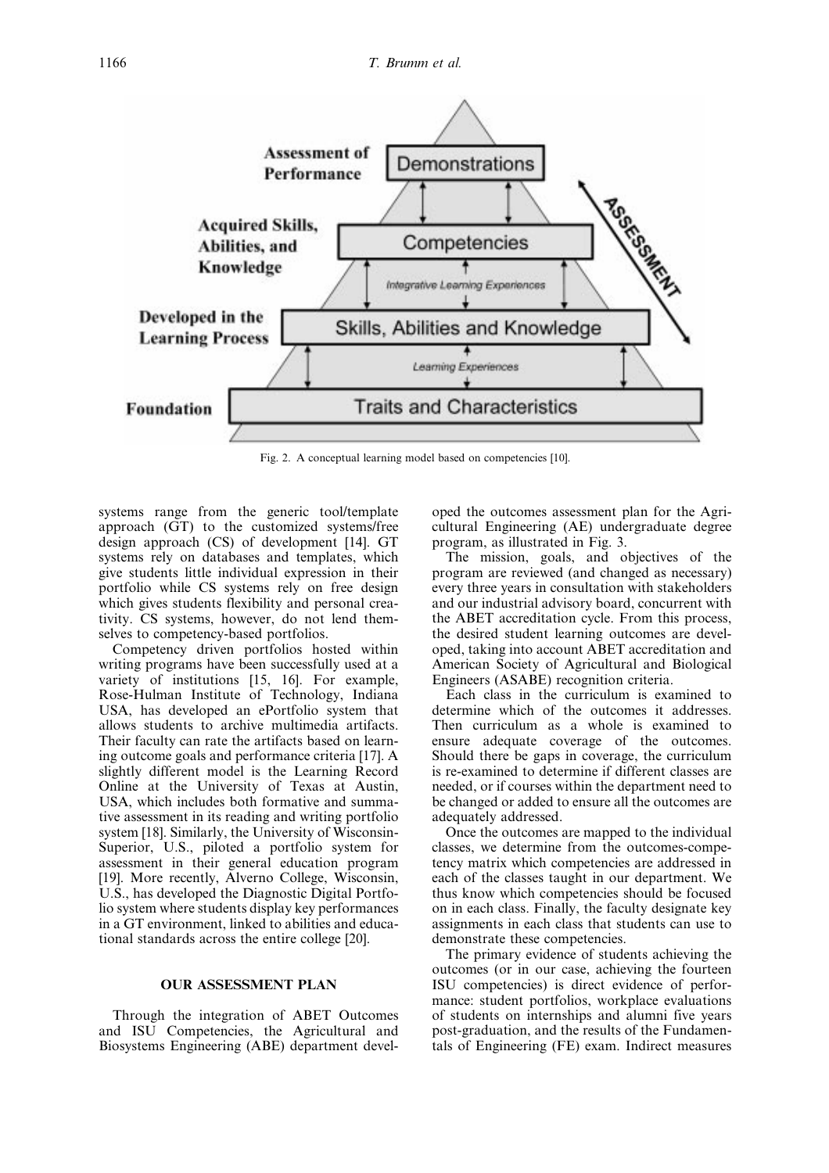

Fig. 2. A conceptual learning model based on competencies [10].

systems range from the generic tool/template approach (GT) to the customized systems/free design approach (CS) of development [14]. GT systems rely on databases and templates, which give students little individual expression in their portfolio while CS systems rely on free design which gives students flexibility and personal creativity. CS systems, however, do not lend themselves to competency-based portfolios.

Competency driven portfolios hosted within writing programs have been successfully used at a variety of institutions [15, 16]. For example, Rose-Hulman Institute of Technology, Indiana USA, has developed an ePortfolio system that allows students to archive multimedia artifacts. Their faculty can rate the artifacts based on learning outcome goals and performance criteria [17]. A slightly different model is the Learning Record Online at the University of Texas at Austin, USA, which includes both formative and summative assessment in its reading and writing portfolio system [18]. Similarly, the University of Wisconsin-Superior, U.S., piloted a portfolio system for assessment in their general education program [19]. More recently, Alverno College, Wisconsin, U.S., has developed the Diagnostic Digital Portfolio system where students display key performances in a GT environment, linked to abilities and educational standards across the entire college [20].

## OUR ASSESSMENT PLAN

Through the integration of ABET Outcomes and ISU Competencies, the Agricultural and Biosystems Engineering (ABE) department developed the outcomes assessment plan for the Agricultural Engineering (AE) undergraduate degree program, as illustrated in Fig. 3.

The mission, goals, and objectives of the program are reviewed (and changed as necessary) every three years in consultation with stakeholders and our industrial advisory board, concurrent with the ABET accreditation cycle. From this process, the desired student learning outcomes are developed, taking into account ABET accreditation and American Society of Agricultural and Biological Engineers (ASABE) recognition criteria.

Each class in the curriculum is examined to determine which of the outcomes it addresses. Then curriculum as a whole is examined to ensure adequate coverage of the outcomes. Should there be gaps in coverage, the curriculum is re-examined to determine if different classes are needed, or if courses within the department need to be changed or added to ensure all the outcomes are adequately addressed.

Once the outcomes are mapped to the individual classes, we determine from the outcomes-competency matrix which competencies are addressed in each of the classes taught in our department. We thus know which competencies should be focused on in each class. Finally, the faculty designate key assignments in each class that students can use to demonstrate these competencies.

The primary evidence of students achieving the outcomes (or in our case, achieving the fourteen ISU competencies) is direct evidence of performance: student portfolios, workplace evaluations of students on internships and alumni five years post-graduation, and the results of the Fundamentals of Engineering (FE) exam. Indirect measures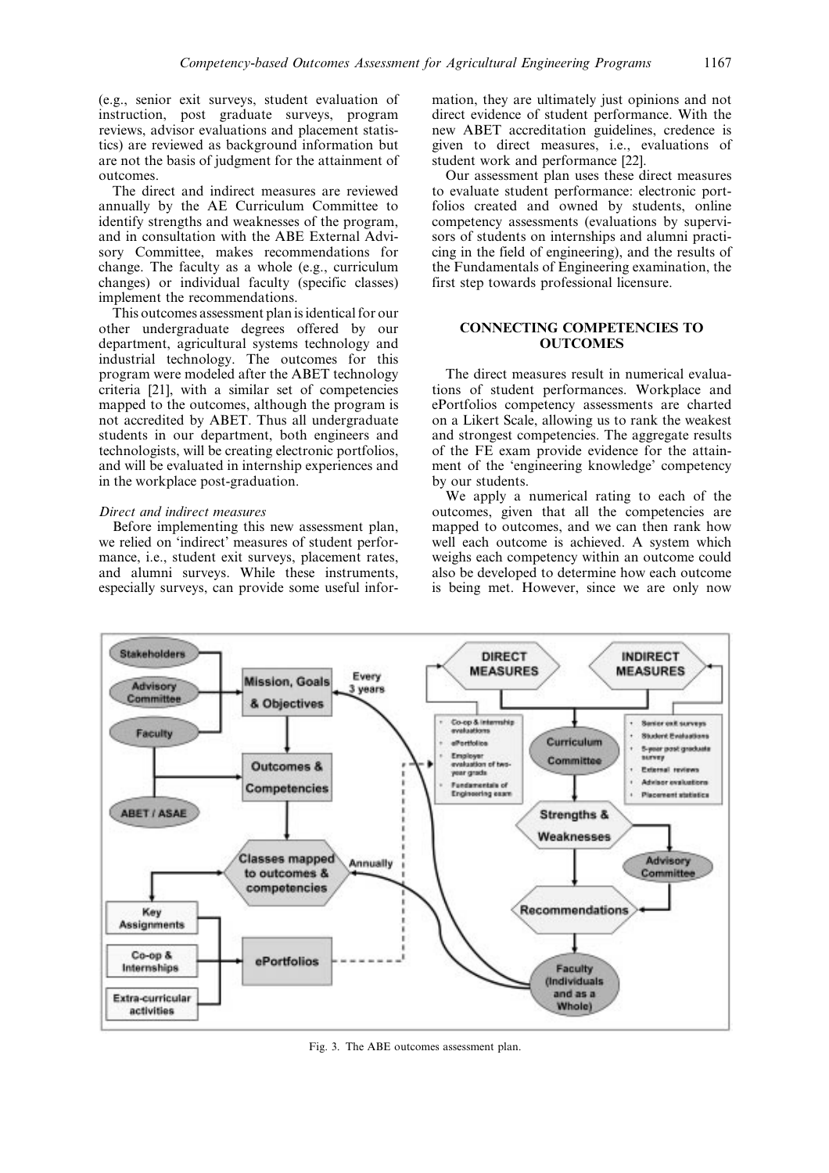(e.g., senior exit surveys, student evaluation of instruction, post graduate surveys, program reviews, advisor evaluations and placement statistics) are reviewed as background information but are not the basis of judgment for the attainment of outcomes.

The direct and indirect measures are reviewed annually by the AE Curriculum Committee to identify strengths and weaknesses of the program, and in consultation with the ABE External Advisory Committee, makes recommendations for change. The faculty as a whole (e.g., curriculum changes) or individual faculty (specific classes) implement the recommendations.

This outcomes assessment plan is identical for our other undergraduate degrees offered by our department, agricultural systems technology and industrial technology. The outcomes for this program were modeled after the ABET technology criteria [21], with a similar set of competencies mapped to the outcomes, although the program is not accredited by ABET. Thus all undergraduate students in our department, both engineers and technologists, will be creating electronic portfolios, and will be evaluated in internship experiences and in the workplace post-graduation.

## Direct and indirect measures

Before implementing this new assessment plan, we relied on 'indirect' measures of student performance, i.e., student exit surveys, placement rates, and alumni surveys. While these instruments, especially surveys, can provide some useful information, they are ultimately just opinions and not direct evidence of student performance. With the new ABET accreditation guidelines, credence is given to direct measures, i.e., evaluations of student work and performance [22].

Our assessment plan uses these direct measures to evaluate student performance: electronic portfolios created and owned by students, online competency assessments (evaluations by supervisors of students on internships and alumni practicing in the field of engineering), and the results of the Fundamentals of Engineering examination, the first step towards professional licensure.

## CONNECTING COMPETENCIES TO **OUTCOMES**

The direct measures result in numerical evaluations of student performances. Workplace and ePortfolios competency assessments are charted on a Likert Scale, allowing us to rank the weakest and strongest competencies. The aggregate results of the FE exam provide evidence for the attainment of the `engineering knowledge' competency by our students.

We apply a numerical rating to each of the outcomes, given that all the competencies are mapped to outcomes, and we can then rank how well each outcome is achieved. A system which weighs each competency within an outcome could also be developed to determine how each outcome is being met. However, since we are only now



Fig. 3. The ABE outcomes assessment plan.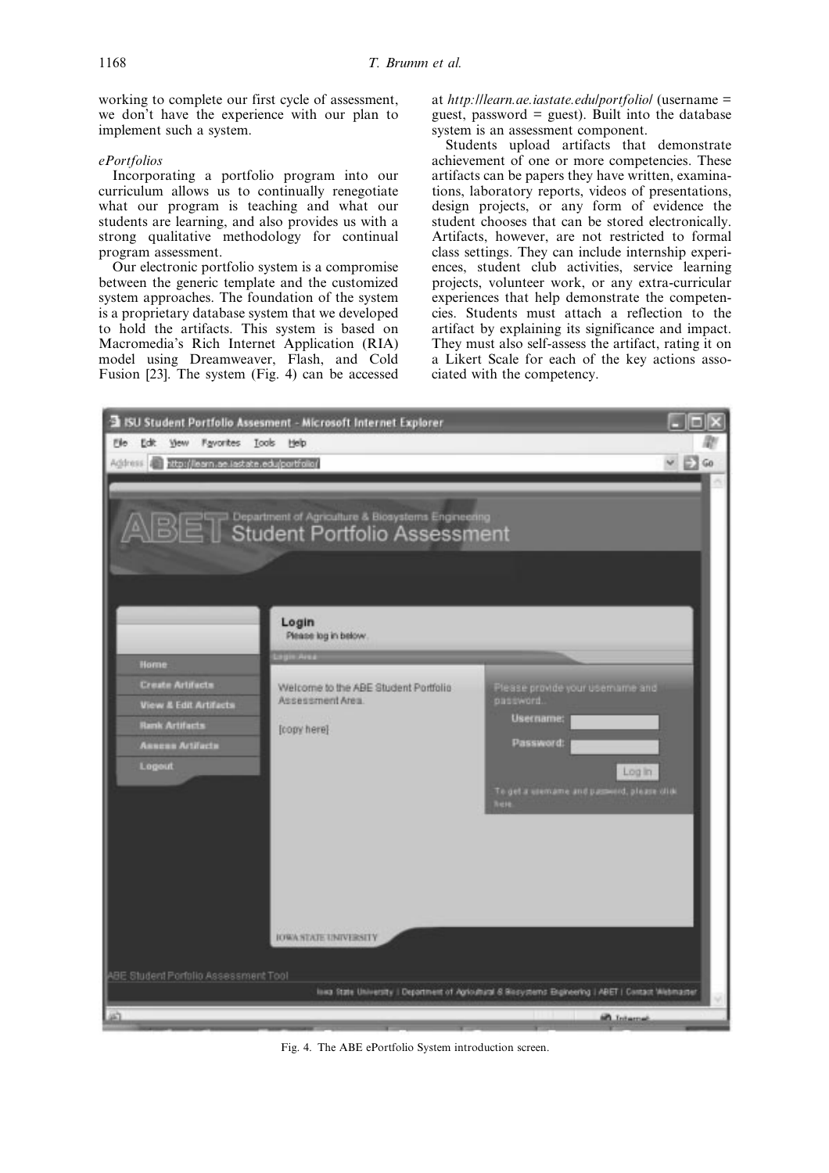working to complete our first cycle of assessment, we don't have the experience with our plan to implement such a system.

#### ePortfolios

Incorporating a portfolio program into our curriculum allows us to continually renegotiate what our program is teaching and what our students are learning, and also provides us with a strong qualitative methodology for continual program assessment.

Our electronic portfolio system is a compromise between the generic template and the customized system approaches. The foundation of the system is a proprietary database system that we developed to hold the artifacts. This system is based on Macromedia's Rich Internet Application (RIA) model using Dreamweaver, Flash, and Cold Fusion [23]. The system (Fig. 4) can be accessed

at http://learn.ae.iastate.edu/portfolio/ (username = guest, password  $=$  guest). Built into the database system is an assessment component.

Students upload artifacts that demonstrate achievement of one or more competencies. These artifacts can be papers they have written, examinations, laboratory reports, videos of presentations, design projects, or any form of evidence the student chooses that can be stored electronically. Artifacts, however, are not restricted to formal class settings. They can include internship experiences, student club activities, service learning projects, volunteer work, or any extra-curricular experiences that help demonstrate the competencies. Students must attach a reflection to the artifact by explaining its significance and impact. They must also self-assess the artifact, rating it on a Likert Scale for each of the key actions associated with the competency.



Fig. 4. The ABE ePortfolio System introduction screen.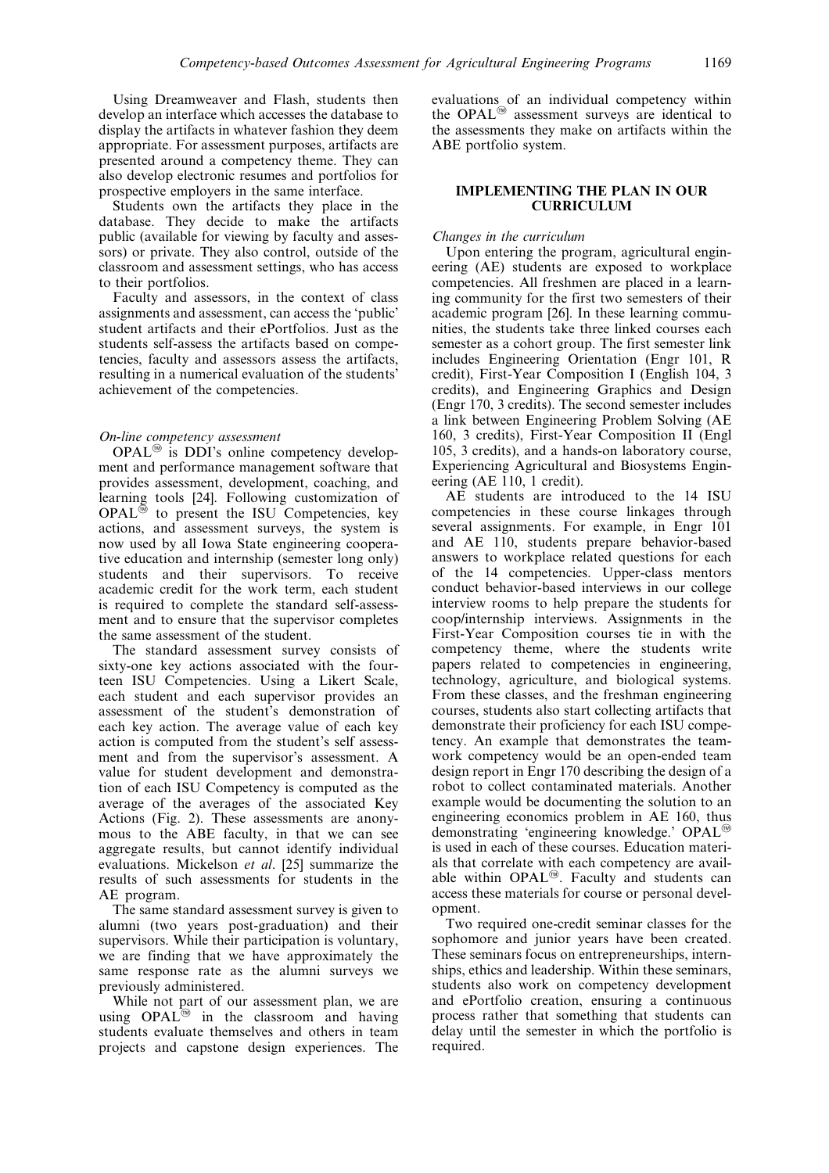Using Dreamweaver and Flash, students then develop an interface which accesses the database to display the artifacts in whatever fashion they deem appropriate. For assessment purposes, artifacts are presented around a competency theme. They can also develop electronic resumes and portfolios for prospective employers in the same interface.

Students own the artifacts they place in the database. They decide to make the artifacts public (available for viewing by faculty and assessors) or private. They also control, outside of the classroom and assessment settings, who has access to their portfolios.

Faculty and assessors, in the context of class assignments and assessment, can access the `public' student artifacts and their ePortfolios. Just as the students self-assess the artifacts based on competencies, faculty and assessors assess the artifacts, resulting in a numerical evaluation of the students' achievement of the competencies.

#### On-line competency assessment

 $OPAL^{\circledR}$  is DDI's online competency development and performance management software that provides assessment, development, coaching, and learning tools [24]. Following customization of  $OPAL^{\circledR}$  to present the ISU Competencies, key actions, and assessment surveys, the system is now used by all Iowa State engineering cooperative education and internship (semester long only) students and their supervisors. To receive academic credit for the work term, each student is required to complete the standard self-assessment and to ensure that the supervisor completes the same assessment of the student.

The standard assessment survey consists of sixty-one key actions associated with the fourteen ISU Competencies. Using a Likert Scale, each student and each supervisor provides an assessment of the student's demonstration of each key action. The average value of each key action is computed from the student's self assessment and from the supervisor's assessment. A value for student development and demonstration of each ISU Competency is computed as the average of the averages of the associated Key Actions (Fig. 2). These assessments are anonymous to the ABE faculty, in that we can see aggregate results, but cannot identify individual evaluations. Mickelson et al. [25] summarize the results of such assessments for students in the AE program.

The same standard assessment survey is given to alumni (two years post-graduation) and their supervisors. While their participation is voluntary, we are finding that we have approximately the same response rate as the alumni surveys we previously administered.

While not part of our assessment plan, we are using  $OPAL^{\circledR}$  in the classroom and having students evaluate themselves and others in team projects and capstone design experiences. The

evaluations of an individual competency within the OPAL<sup> $\textcircled{a}$ </sup> assessment surveys are identical to the assessments they make on artifacts within the ABE portfolio system.

## IMPLEMENTING THE PLAN IN OUR CURRICULUM

### Changes in the curriculum

Upon entering the program, agricultural engineering (AE) students are exposed to workplace competencies. All freshmen are placed in a learning community for the first two semesters of their academic program [26]. In these learning communities, the students take three linked courses each semester as a cohort group. The first semester link includes Engineering Orientation (Engr 101, R credit), First-Year Composition I (English 104, 3 credits), and Engineering Graphics and Design (Engr 170, 3 credits). The second semester includes a link between Engineering Problem Solving (AE 160, 3 credits), First-Year Composition II (Engl 105, 3 credits), and a hands-on laboratory course, Experiencing Agricultural and Biosystems Engineering (AE 110, 1 credit).

AE students are introduced to the 14 ISU competencies in these course linkages through several assignments. For example, in Engr 101 and AE 110, students prepare behavior-based answers to workplace related questions for each of the 14 competencies. Upper-class mentors conduct behavior-based interviews in our college interview rooms to help prepare the students for coop/internship interviews. Assignments in the First-Year Composition courses tie in with the competency theme, where the students write papers related to competencies in engineering, technology, agriculture, and biological systems. From these classes, and the freshman engineering courses, students also start collecting artifacts that demonstrate their proficiency for each ISU competency. An example that demonstrates the teamwork competency would be an open-ended team design report in Engr 170 describing the design of a robot to collect contaminated materials. Another example would be documenting the solution to an engineering economics problem in AE 160, thus demonstrating 'engineering knowledge.'  $OPAL^{\circledR}$ is used in each of these courses. Education materials that correlate with each competency are available within  $OPAL^{\circledR}$ . Faculty and students can access these materials for course or personal development.

Two required one-credit seminar classes for the sophomore and junior years have been created. These seminars focus on entrepreneurships, internships, ethics and leadership. Within these seminars, students also work on competency development and ePortfolio creation, ensuring a continuous process rather that something that students can delay until the semester in which the portfolio is required.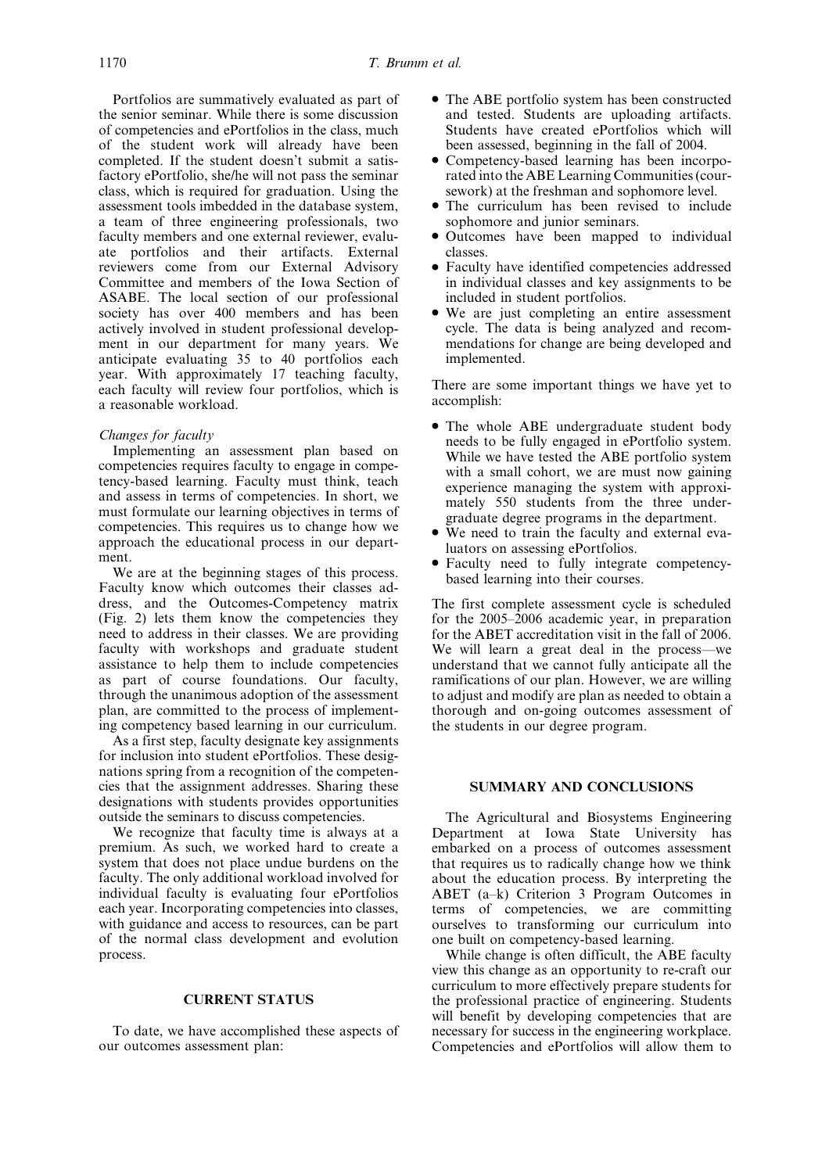Portfolios are summatively evaluated as part of the senior seminar. While there is some discussion of competencies and ePortfolios in the class, much of the student work will already have been completed. If the student doesn't submit a satisfactory ePortfolio, she/he will not pass the seminar class, which is required for graduation. Using the assessment tools imbedded in the database system, a team of three engineering professionals, two faculty members and one external reviewer, evaluate portfolios and their artifacts. External reviewers come from our External Advisory Committee and members of the Iowa Section of ASABE. The local section of our professional society has over 400 members and has been actively involved in student professional development in our department for many years. We anticipate evaluating 35 to 40 portfolios each year. With approximately 17 teaching faculty, each faculty will review four portfolios, which is a reasonable workload.

## Changes for faculty

Implementing an assessment plan based on competencies requires faculty to engage in competency-based learning. Faculty must think, teach and assess in terms of competencies. In short, we must formulate our learning objectives in terms of competencies. This requires us to change how we approach the educational process in our department.

We are at the beginning stages of this process. Faculty know which outcomes their classes address, and the Outcomes-Competency matrix (Fig. 2) lets them know the competencies they need to address in their classes. We are providing faculty with workshops and graduate student assistance to help them to include competencies as part of course foundations. Our faculty, through the unanimous adoption of the assessment plan, are committed to the process of implementing competency based learning in our curriculum.

As a first step, faculty designate key assignments for inclusion into student ePortfolios. These designations spring from a recognition of the competencies that the assignment addresses. Sharing these designations with students provides opportunities outside the seminars to discuss competencies.

We recognize that faculty time is always at a premium. As such, we worked hard to create a system that does not place undue burdens on the faculty. The only additional workload involved for individual faculty is evaluating four ePortfolios each year. Incorporating competencies into classes, with guidance and access to resources, can be part of the normal class development and evolution process.

## CURRENT STATUS

To date, we have accomplished these aspects of our outcomes assessment plan:

- . The ABE portfolio system has been constructed and tested. Students are uploading artifacts. Students have created ePortfolios which will been assessed, beginning in the fall of 2004.
- . Competency-based learning has been incorporated into the ABE Learning Communities(coursework) at the freshman and sophomore level.
- . The curriculum has been revised to include sophomore and junior seminars.
- . Outcomes have been mapped to individual classes.
- . Faculty have identified competencies addressed in individual classes and key assignments to be included in student portfolios.
- . We are just completing an entire assessment cycle. The data is being analyzed and recommendations for change are being developed and implemented.

There are some important things we have yet to accomplish:

- The whole ABE undergraduate student body needs to be fully engaged in ePortfolio system. While we have tested the ABE portfolio system with a small cohort, we are must now gaining experience managing the system with approximately 550 students from the three undergraduate degree programs in the department.
- . We need to train the faculty and external evaluators on assessing ePortfolios.
- . Faculty need to fully integrate competencybased learning into their courses.

The first complete assessment cycle is scheduled for the  $2005-2006$  academic year, in preparation for the ABET accreditation visit in the fall of 2006. We will learn a great deal in the process—we understand that we cannot fully anticipate all the ramifications of our plan. However, we are willing to adjust and modify are plan as needed to obtain a thorough and on-going outcomes assessment of the students in our degree program.

## SUMMARY AND CONCLUSIONS

The Agricultural and Biosystems Engineering Department at Iowa State University has embarked on a process of outcomes assessment that requires us to radically change how we think about the education process. By interpreting the ABET  $(a-k)$  Criterion 3 Program Outcomes in terms of competencies, we are committing ourselves to transforming our curriculum into one built on competency-based learning.

While change is often difficult, the ABE faculty view this change as an opportunity to re-craft our curriculum to more effectively prepare students for the professional practice of engineering. Students will benefit by developing competencies that are necessary for success in the engineering workplace. Competencies and ePortfolios will allow them to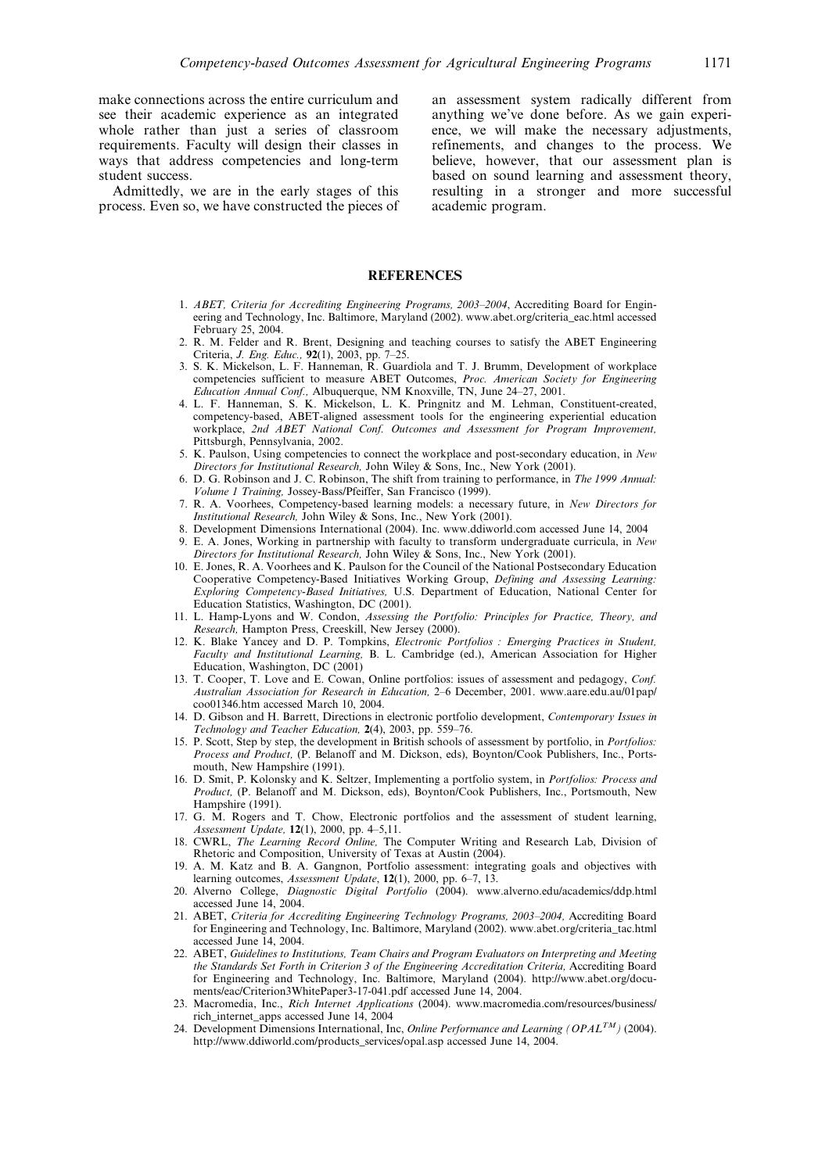make connections across the entire curriculum and see their academic experience as an integrated whole rather than just a series of classroom requirements. Faculty will design their classes in ways that address competencies and long-term student success.

Admittedly, we are in the early stages of this process. Even so, we have constructed the pieces of an assessment system radically different from anything we've done before. As we gain experience, we will make the necessary adjustments, refinements, and changes to the process. We believe, however, that our assessment plan is based on sound learning and assessment theory, resulting in a stronger and more successful academic program.

### **REFERENCES**

- 1. ABET, Criteria for Accrediting Engineering Programs, 2003-2004, Accrediting Board for Engineering and Technology, Inc. Baltimore, Maryland (2002). www.abet.org/criteria\_eac.html accessed February 25, 2004.
- 2. R. M. Felder and R. Brent, Designing and teaching courses to satisfy the ABET Engineering Criteria, J. Eng. Educ., 92(1), 2003, pp. 7-25.
- 3. S. K. Mickelson, L. F. Hanneman, R. Guardiola and T. J. Brumm, Development of workplace competencies sufficient to measure ABET Outcomes, Proc. American Society for Engineering Education Annual Conf., Albuquerque, NM Knoxville, TN, June 24-27, 2001.
- 4. L. F. Hanneman, S. K. Mickelson, L. K. Pringnitz and M. Lehman, Constituent-created, competency-based, ABET-aligned assessment tools for the engineering experiential education workplace, 2nd ABET National Conf. Outcomes and Assessment for Program Improvement, Pittsburgh, Pennsylvania, 2002.
- 5. K. Paulson, Using competencies to connect the workplace and post-secondary education, in New Directors for Institutional Research, John Wiley & Sons, Inc., New York (2001).
- 6. D. G. Robinson and J. C. Robinson, The shift from training to performance, in The 1999 Annual: Volume 1 Training, Jossey-Bass/Pfeiffer, San Francisco (1999).
- 7. R. A. Voorhees, Competency-based learning models: a necessary future, in New Directors for Institutional Research, John Wiley & Sons, Inc., New York (2001).
- 8. Development Dimensions International (2004). Inc. www.ddiworld.com accessed June 14, 2004
- 9. E. A. Jones, Working in partnership with faculty to transform undergraduate curricula, in New Directors for Institutional Research, John Wiley & Sons, Inc., New York (2001).
- 10. E. Jones, R. A. Voorhees and K. Paulson for the Council of the National Postsecondary Education Cooperative Competency-Based Initiatives Working Group, Defining and Assessing Learning: Exploring Competency-Based Initiatives, U.S. Department of Education, National Center for Education Statistics, Washington, DC (2001).
- 11. L. Hamp-Lyons and W. Condon, Assessing the Portfolio: Principles for Practice, Theory, and Research, Hampton Press, Creeskill, New Jersey (2000).
- 12. K. Blake Yancey and D. P. Tompkins, Electronic Portfolios : Emerging Practices in Student, Faculty and Institutional Learning, B. L. Cambridge (ed.), American Association for Higher Education, Washington, DC (2001)
- 13. T. Cooper, T. Love and E. Cowan, Online portfolios: issues of assessment and pedagogy, Conf. Australian Association for Research in Education, 2-6 December, 2001. www.aare.edu.au/01pap/ coo01346.htm accessed March 10, 2004.
- 14. D. Gibson and H. Barrett, Directions in electronic portfolio development, Contemporary Issues in Technology and Teacher Education, 2(4), 2003, pp. 559-76.
- 15. P. Scott, Step by step, the development in British schools of assessment by portfolio, in Portfolios: Process and Product, (P. Belanoff and M. Dickson, eds), Boynton/Cook Publishers, Inc., Portsmouth, New Hampshire (1991).
- 16. D. Smit, P. Kolonsky and K. Seltzer, Implementing a portfolio system, in Portfolios: Process and Product, (P. Belanoff and M. Dickson, eds), Boynton/Cook Publishers, Inc., Portsmouth, New Hampshire (1991).
- 17. G. M. Rogers and T. Chow, Electronic portfolios and the assessment of student learning, Assessment Update,  $12(1)$ , 2000, pp. 4-5,11.
- 18. CWRL, The Learning Record Online. The Computer Writing and Research Lab, Division of Rhetoric and Composition, University of Texas at Austin (2004).
- 19. A. M. Katz and B. A. Gangnon, Portfolio assessment: integrating goals and objectives with learning outcomes, Assessment Update,  $12(1)$ , 2000, pp. 6-7, 13.
- 20. Alverno College, Diagnostic Digital Portfolio (2004). www.alverno.edu/academics/ddp.html accessed June 14, 2004.
- 21. ABET, Criteria for Accrediting Engineering Technology Programs, 2003-2004, Accrediting Board for Engineering and Technology, Inc. Baltimore, Maryland (2002). www.abet.org/criteria\_tac.html accessed June 14, 2004.
- 22. ABET, Guidelines to Institutions, Team Chairs and Program Evaluators on Interpreting and Meeting the Standards Set Forth in Criterion 3 of the Engineering Accreditation Criteria, Accrediting Board for Engineering and Technology, Inc. Baltimore, Maryland (2004). http://www.abet.org/documents/eac/Criterion3WhitePaper3-17-041.pdf accessed June 14, 2004.
- 23. Macromedia, Inc., Rich Internet Applications (2004). www.macromedia.com/resources/business/ rich\_internet\_apps accessed June 14, 2004
- 24. Development Dimensions International, Inc, *Online Performance and Learning (OPAL<sup>TM</sup>)* (2004). http://www.ddiworld.com/products\_services/opal.asp accessed June 14, 2004.